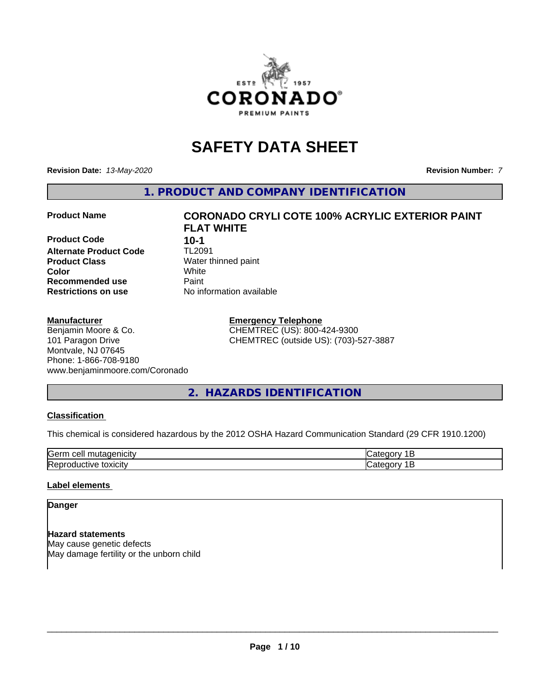

## **SAFETY DATA SHEET**

**Revision Date:** *13-May-2020* **Revision Number:** *7*

**1. PRODUCT AND COMPANY IDENTIFICATION**

**Product Code 10-1**<br>**Alternate Product Code 11-12091 Alternate Product Code**<br>Product Class **Product Class** Water thinned paint<br> **Color** White **Recommended use Caint Restrictions on use** No information available

#### **Manufacturer**

#### Benjamin Moore & Co. 101 Paragon Drive Montvale, NJ 07645 Phone: 1-866-708-9180 www.benjaminmoore.com/Coronado

# **Product Name CORONADO CRYLI COTE 100% ACRYLIC EXTERIOR PAINT FLAT WHITE Color** White

**Emergency Telephone** CHEMTREC (US): 800-424-9300 CHEMTREC (outside US): (703)-527-3887

## **2. HAZARDS IDENTIFICATION**

#### **Classification**

This chemical is considered hazardous by the 2012 OSHA Hazard Communication Standard (29 CFR 1910.1200)

| $\sim$ $\sim$<br>---<br>kae:<br>$\cdot$ |  |
|-----------------------------------------|--|
| <b>Re</b><br>$-$<br>. X II              |  |

#### **Label elements**

#### **Danger**

**Hazard statements** May cause genetic defects May damage fertility or the unborn child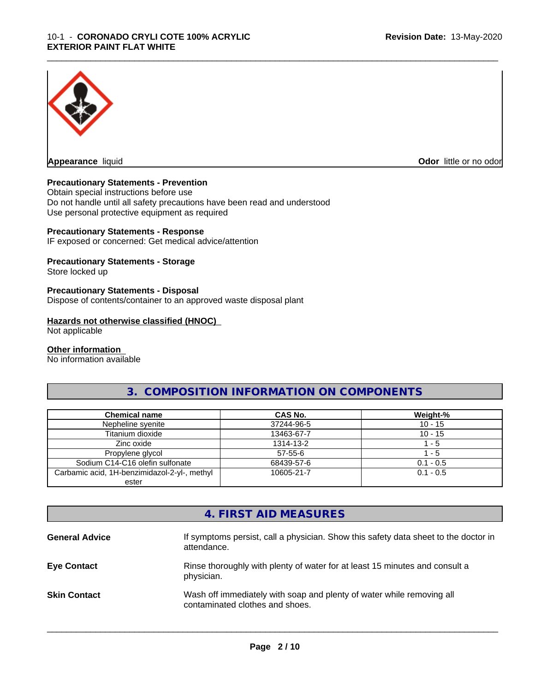

**Appearance** liquid **Odor in the original of the original of the original of the original of the original of the original of the original of the original of the original of the original of the original of the original of t** 

#### **Precautionary Statements - Prevention**

Obtain special instructions before use Do not handle until all safety precautions have been read and understood Use personal protective equipment as required

#### **Precautionary Statements - Response**

IF exposed or concerned: Get medical advice/attention

#### **Precautionary Statements - Storage**

Store locked up

#### **Precautionary Statements - Disposal**

Dispose of contents/container to an approved waste disposal plant

#### **Hazards not otherwise classified (HNOC)**

Not applicable

#### **Other information**

No information available

#### **3. COMPOSITION INFORMATION ON COMPONENTS**

\_\_\_\_\_\_\_\_\_\_\_\_\_\_\_\_\_\_\_\_\_\_\_\_\_\_\_\_\_\_\_\_\_\_\_\_\_\_\_\_\_\_\_\_\_\_\_\_\_\_\_\_\_\_\_\_\_\_\_\_\_\_\_\_\_\_\_\_\_\_\_\_\_\_\_\_\_\_\_\_\_\_\_\_\_\_\_\_\_\_\_\_\_

| <b>Chemical name</b>                         | CAS No.       | Weight-%    |
|----------------------------------------------|---------------|-------------|
| Nepheline syenite                            | 37244-96-5    | $10 - 15$   |
| Titanium dioxide                             | 13463-67-7    | $10 - 15$   |
| Zinc oxide                                   | 1314-13-2     | - 5         |
| Propylene glycol                             | $57 - 55 - 6$ | $-5$        |
| Sodium C14-C16 olefin sulfonate              | 68439-57-6    | $0.1 - 0.5$ |
| Carbamic acid, 1H-benzimidazol-2-yl-, methyl | 10605-21-7    | $0.1 - 0.5$ |
| ester                                        |               |             |

#### **4. FIRST AID MEASURES**

| <b>General Advice</b> | If symptoms persist, call a physician. Show this safety data sheet to the doctor in<br>attendance.       |
|-----------------------|----------------------------------------------------------------------------------------------------------|
| <b>Eye Contact</b>    | Rinse thoroughly with plenty of water for at least 15 minutes and consult a<br>physician.                |
| <b>Skin Contact</b>   | Wash off immediately with soap and plenty of water while removing all<br>contaminated clothes and shoes. |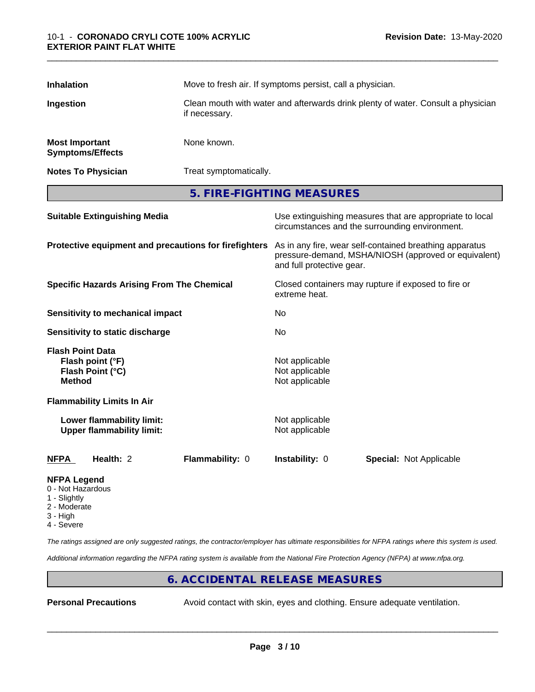| <b>Inhalation</b>                                           |                                                               | Move to fresh air. If symptoms persist, call a physician.<br>Clean mouth with water and afterwards drink plenty of water. Consult a physician<br>if necessary. |                                                                                                                                              |                                                                                                            |  |
|-------------------------------------------------------------|---------------------------------------------------------------|----------------------------------------------------------------------------------------------------------------------------------------------------------------|----------------------------------------------------------------------------------------------------------------------------------------------|------------------------------------------------------------------------------------------------------------|--|
| Ingestion                                                   |                                                               |                                                                                                                                                                |                                                                                                                                              |                                                                                                            |  |
| <b>Most Important</b>                                       | <b>Symptoms/Effects</b>                                       | None known.                                                                                                                                                    |                                                                                                                                              |                                                                                                            |  |
|                                                             | <b>Notes To Physician</b>                                     |                                                                                                                                                                | Treat symptomatically.                                                                                                                       |                                                                                                            |  |
|                                                             |                                                               |                                                                                                                                                                | 5. FIRE-FIGHTING MEASURES                                                                                                                    |                                                                                                            |  |
|                                                             | <b>Suitable Extinguishing Media</b>                           |                                                                                                                                                                |                                                                                                                                              | Use extinguishing measures that are appropriate to local<br>circumstances and the surrounding environment. |  |
| Protective equipment and precautions for firefighters       |                                                               |                                                                                                                                                                | As in any fire, wear self-contained breathing apparatus<br>pressure-demand, MSHA/NIOSH (approved or equivalent)<br>and full protective gear. |                                                                                                            |  |
| <b>Specific Hazards Arising From The Chemical</b>           |                                                               | Closed containers may rupture if exposed to fire or<br>extreme heat.                                                                                           |                                                                                                                                              |                                                                                                            |  |
|                                                             | <b>Sensitivity to mechanical impact</b>                       |                                                                                                                                                                | No                                                                                                                                           |                                                                                                            |  |
|                                                             | Sensitivity to static discharge                               |                                                                                                                                                                | No                                                                                                                                           |                                                                                                            |  |
| <b>Flash Point Data</b><br><b>Method</b>                    | Flash point (°F)<br>Flash Point (°C)                          |                                                                                                                                                                | Not applicable<br>Not applicable<br>Not applicable                                                                                           |                                                                                                            |  |
|                                                             | <b>Flammability Limits In Air</b>                             |                                                                                                                                                                |                                                                                                                                              |                                                                                                            |  |
|                                                             | Lower flammability limit:<br><b>Upper flammability limit:</b> |                                                                                                                                                                | Not applicable<br>Not applicable                                                                                                             |                                                                                                            |  |
| <b>NFPA</b>                                                 | Health: 2                                                     | Flammability: 0                                                                                                                                                | Instability: 0                                                                                                                               | Special: Not Applicable                                                                                    |  |
| <b>NFPA Legend</b><br>0 - Not Hazardous<br>Cliabth <i>i</i> |                                                               |                                                                                                                                                                |                                                                                                                                              |                                                                                                            |  |

- 1 Slightly
- 2 Moderate
- 3 High
- 4 Severe

*The ratings assigned are only suggested ratings, the contractor/employer has ultimate responsibilities for NFPA ratings where this system is used.*

*Additional information regarding the NFPA rating system is available from the National Fire Protection Agency (NFPA) at www.nfpa.org.*

#### **6. ACCIDENTAL RELEASE MEASURES**

**Personal Precautions** Avoid contact with skin, eyes and clothing. Ensure adequate ventilation.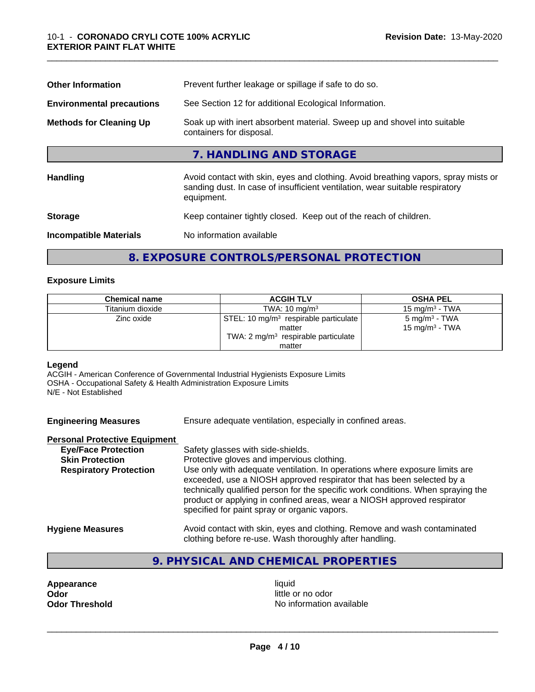| Prevent further leakage or spillage if safe to do so.                                                                                                                            |  |  |
|----------------------------------------------------------------------------------------------------------------------------------------------------------------------------------|--|--|
| See Section 12 for additional Ecological Information.                                                                                                                            |  |  |
| Soak up with inert absorbent material. Sweep up and shovel into suitable<br>containers for disposal.                                                                             |  |  |
| 7. HANDLING AND STORAGE                                                                                                                                                          |  |  |
| Avoid contact with skin, eyes and clothing. Avoid breathing vapors, spray mists or<br>sanding dust. In case of insufficient ventilation, wear suitable respiratory<br>equipment. |  |  |
| Keep container tightly closed. Keep out of the reach of children.                                                                                                                |  |  |
| No information available                                                                                                                                                         |  |  |
|                                                                                                                                                                                  |  |  |

#### **8. EXPOSURE CONTROLS/PERSONAL PROTECTION**

#### **Exposure Limits**

| <b>Chemical name</b> | <b>ACGIH TLV</b>                                                                                              | <b>OSHA PEL</b>                                         |
|----------------------|---------------------------------------------------------------------------------------------------------------|---------------------------------------------------------|
| Titanium dioxide     | TWA: $10 \text{ mg/m}^3$                                                                                      | $15 \text{ mg/m}^3$ - TWA                               |
| Zinc oxide           | STEL: 10 mg/m <sup>3</sup> respirable particulate<br>matter<br>TWA: $2 \text{ mg/m}^3$ respirable particulate | 5 mg/m <sup>3</sup> - TWA<br>15 mg/m <sup>3</sup> - TWA |
|                      | matter                                                                                                        |                                                         |

#### **Legend**

ACGIH - American Conference of Governmental Industrial Hygienists Exposure Limits OSHA - Occupational Safety & Health Administration Exposure Limits N/E - Not Established

| <b>Engineering Measures</b> | Ensure adequate ventilation, especially in confined areas. |
|-----------------------------|------------------------------------------------------------|
|                             |                                                            |

#### **Personal Protective Equipment**

| <b>Eye/Face Protection</b>    | Safety glasses with side-shields.                                                                                                                                                                                                                                                                                                                                   |
|-------------------------------|---------------------------------------------------------------------------------------------------------------------------------------------------------------------------------------------------------------------------------------------------------------------------------------------------------------------------------------------------------------------|
| <b>Skin Protection</b>        | Protective gloves and impervious clothing.                                                                                                                                                                                                                                                                                                                          |
| <b>Respiratory Protection</b> | Use only with adequate ventilation. In operations where exposure limits are<br>exceeded, use a NIOSH approved respirator that has been selected by a<br>technically qualified person for the specific work conditions. When spraying the<br>product or applying in confined areas, wear a NIOSH approved respirator<br>specified for paint spray or organic vapors. |
| Lhaalama Maaarinaa            | buoid contact with aline avec and olething. Demove and week contaminated                                                                                                                                                                                                                                                                                            |

- **Hygiene Measures** Avoid contact with skin, eyes and clothing. Remove and wash contaminated clothing before re-use. Wash thoroughly after handling.
	- **9. PHYSICAL AND CHEMICAL PROPERTIES**

**Appearance** liquid<br> **Appearance** liquid<br> **Odor** little c **Odor**<br> **Odor Threshold**<br> **Odor Threshold CODOR CODOR CODOR CODOR CODOR CODOR CODOR CODOR CODOR CODOR CODOR** 

**No information available**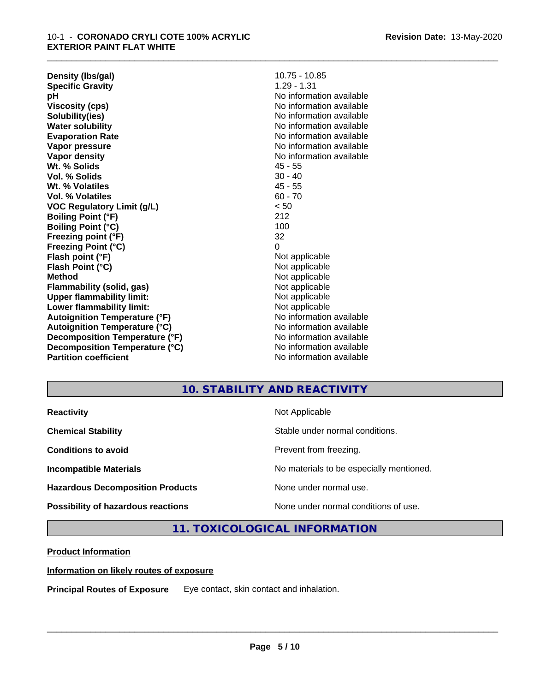**Density (lbs/gal)** 10.75 - 10.85<br> **Specific Gravity** 1.29 - 1.31 **Specific Gravity pH** No information available **Viscosity (cps)** No information available **Solubility(ies)** No information available **Water solubility** No information available **Evaporation Rate** Note 2008 and 2009 No information available **Vapor pressure** No information available in the North American Monte available in the North American available **Vapor density** No information available **Wt. % Solids** 45 - 55 **Vol. % Solids** 30 - 40 **Wt. % Volatiles** 45 - 55 **Vol. % Volatiles** 60 - 70 **VOC Regulatory Limit (g/L)** < 50 **Boiling Point (°F)** 212 **Boiling Point (°C)** 100<br> **Preezing point (°F)** 32 **Freezing point (°F) Freezing Point (°C)** 0 **Flash point (°F)**<br> **Flash Point (°C)**<br> **Flash Point (°C)**<br> **Not** applicable **Flash Point (°C) Method** Not applicable **Flammability (solid, gas)**<br> **Upper flammability limit:**<br>
Upper flammability limit:<br>  $\begin{array}{ccc}\n\bullet & \bullet & \bullet \\
\bullet & \bullet & \bullet\n\end{array}$  Not applicable **Upper flammability limit:**<br> **Lower flammability limit:**<br>
Not applicable<br>
Not applicable **Lower flammability limit:**<br> **Autoignition Temperature (°F)** Not applicable havailable available **Autoignition Temperature (°F)**<br> **Autoignition Temperature (°C)** No information available **Autoignition Temperature (°C) Decomposition Temperature (°F)** No information available **Decomposition Temperature (°C)**<br> **Partition coefficient**<br> **Partition coefficient**<br> **No** information available **Revision Date:** 13-May-2020

**No information available** 

\_\_\_\_\_\_\_\_\_\_\_\_\_\_\_\_\_\_\_\_\_\_\_\_\_\_\_\_\_\_\_\_\_\_\_\_\_\_\_\_\_\_\_\_\_\_\_\_\_\_\_\_\_\_\_\_\_\_\_\_\_\_\_\_\_\_\_\_\_\_\_\_\_\_\_\_\_\_\_\_\_\_\_\_\_\_\_\_\_\_\_\_\_

### **10. STABILITY AND REACTIVITY**

| <b>Reactivity</b>                         | Not Applicable                           |
|-------------------------------------------|------------------------------------------|
| <b>Chemical Stability</b>                 | Stable under normal conditions.          |
| <b>Conditions to avoid</b>                | Prevent from freezing.                   |
| <b>Incompatible Materials</b>             | No materials to be especially mentioned. |
| <b>Hazardous Decomposition Products</b>   | None under normal use.                   |
| <b>Possibility of hazardous reactions</b> | None under normal conditions of use.     |

**11. TOXICOLOGICAL INFORMATION**

#### **Product Information**

#### **Information on likely routes of exposure**

**Principal Routes of Exposure** Eye contact, skin contact and inhalation.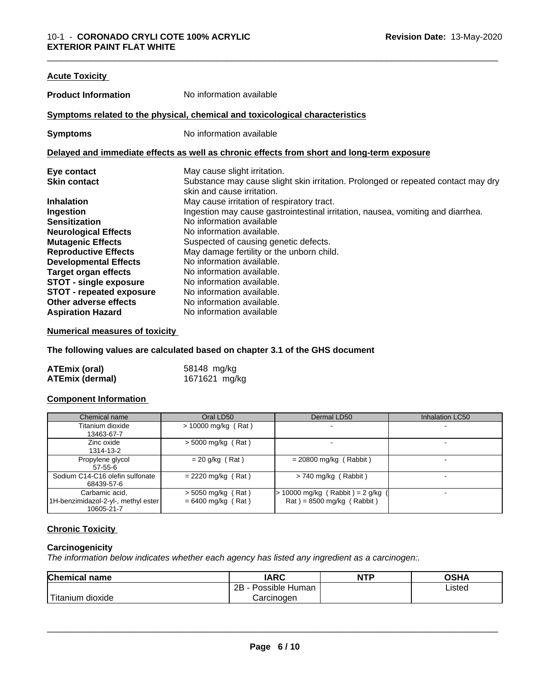| <b>Acute Toxicity</b>           |                                                                                                                 |
|---------------------------------|-----------------------------------------------------------------------------------------------------------------|
| <b>Product Information</b>      | No information available                                                                                        |
|                                 | Symptoms related to the physical, chemical and toxicological characteristics                                    |
| <b>Symptoms</b>                 | No information available                                                                                        |
|                                 | Delayed and immediate effects as well as chronic effects from short and long-term exposure                      |
| Eye contact                     | May cause slight irritation.                                                                                    |
| <b>Skin contact</b>             | Substance may cause slight skin irritation. Prolonged or repeated contact may dry<br>skin and cause irritation. |
| <b>Inhalation</b>               | May cause irritation of respiratory tract.                                                                      |
| Ingestion                       | Ingestion may cause gastrointestinal irritation, nausea, vomiting and diarrhea.                                 |
| <b>Sensitization</b>            | No information available                                                                                        |
| <b>Neurological Effects</b>     | No information available.                                                                                       |
| <b>Mutagenic Effects</b>        | Suspected of causing genetic defects.                                                                           |
| <b>Reproductive Effects</b>     | May damage fertility or the unborn child.                                                                       |
| <b>Developmental Effects</b>    | No information available.                                                                                       |
| <b>Target organ effects</b>     | No information available.                                                                                       |
| <b>STOT - single exposure</b>   | No information available.                                                                                       |
| <b>STOT - repeated exposure</b> | No information available.                                                                                       |
| Other adverse effects           | No information available.                                                                                       |
| <b>Aspiration Hazard</b>        | No information available                                                                                        |

#### **Numerical measures of toxicity**

**The following values are calculated based on chapter 3.1 of the GHS document**

| <b>ATEmix (oral)</b>   | 58148 mg/kg   |
|------------------------|---------------|
| <b>ATEmix (dermal)</b> | 1671621 mg/kg |

#### **Component Information**

| Chemical name                                                       | Oral LD50                                    | Dermal LD50                                                        | Inhalation LC50 |
|---------------------------------------------------------------------|----------------------------------------------|--------------------------------------------------------------------|-----------------|
| Titanium dioxide<br>13463-67-7                                      | $> 10000$ mg/kg (Rat)                        |                                                                    |                 |
| Zinc oxide<br>1314-13-2                                             | $>$ 5000 mg/kg (Rat)                         |                                                                    |                 |
| Propylene glycol<br>57-55-6                                         | $= 20$ g/kg (Rat)                            | $= 20800$ mg/kg (Rabbit)                                           |                 |
| Sodium C14-C16 olefin sulfonate<br>68439-57-6                       | $= 2220$ mg/kg (Rat)                         | $> 740$ mg/kg (Rabbit)                                             |                 |
| Carbamic acid,<br>1H-benzimidazol-2-yl-, methyl ester<br>10605-21-7 | $>$ 5050 mg/kg (Rat)<br>$= 6400$ mg/kg (Rat) | $> 10000$ mg/kg (Rabbit) = 2 g/kg (<br>$Rat$ = 8500 mg/kg (Rabbit) |                 |

#### **Chronic Toxicity**

#### **Carcinogenicity**

*The information below indicateswhether each agency has listed any ingredient as a carcinogen:.*

| <b>Chemical name</b>                                                                                                                                                                                                                                         | <b>IARC</b>                    | <b>NTP</b> | OSHA   |  |
|--------------------------------------------------------------------------------------------------------------------------------------------------------------------------------------------------------------------------------------------------------------|--------------------------------|------------|--------|--|
|                                                                                                                                                                                                                                                              | . .<br>2B<br>Possible<br>Human |            | Listed |  |
| <b>The Contract of the Contract of the Contract of the Contract of the Contract of the Contract of the Contract of The Contract of The Contract of The Contract of The Contract of The Contract of The Contract of The Contract </b><br>dioxide<br>l ıtanıum | Carcinogen                     |            |        |  |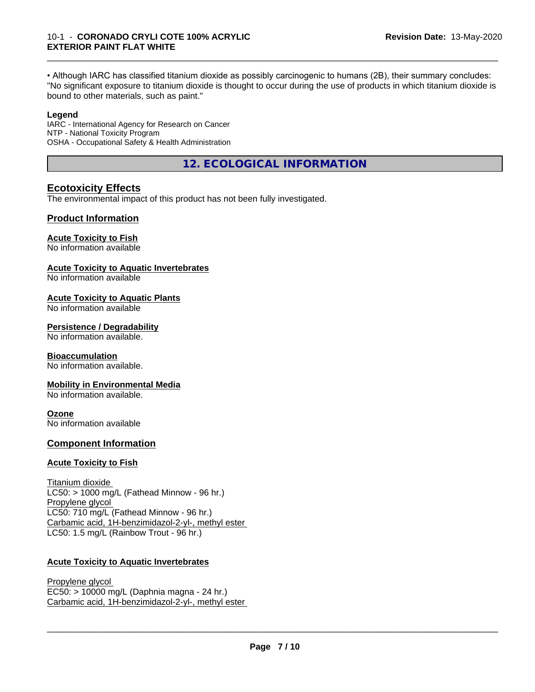• Although IARC has classified titanium dioxide as possibly carcinogenic to humans (2B), their summary concludes: "No significant exposure to titanium dioxide is thought to occur during the use of products in which titanium dioxide is bound to other materials, such as paint."

\_\_\_\_\_\_\_\_\_\_\_\_\_\_\_\_\_\_\_\_\_\_\_\_\_\_\_\_\_\_\_\_\_\_\_\_\_\_\_\_\_\_\_\_\_\_\_\_\_\_\_\_\_\_\_\_\_\_\_\_\_\_\_\_\_\_\_\_\_\_\_\_\_\_\_\_\_\_\_\_\_\_\_\_\_\_\_\_\_\_\_\_\_

#### **Legend**

IARC - International Agency for Research on Cancer NTP - National Toxicity Program OSHA - Occupational Safety & Health Administration

**12. ECOLOGICAL INFORMATION**

#### **Ecotoxicity Effects**

The environmental impact of this product has not been fully investigated.

#### **Product Information**

#### **Acute Toxicity to Fish**

No information available

#### **Acute Toxicity to Aquatic Invertebrates**

No information available

#### **Acute Toxicity to Aquatic Plants**

No information available

#### **Persistence / Degradability**

No information available.

#### **Bioaccumulation**

No information available.

#### **Mobility in Environmental Media**

No information available.

#### **Ozone**

No information available

#### **Component Information**

#### **Acute Toxicity to Fish**

Titanium dioxide  $LC50:$  > 1000 mg/L (Fathead Minnow - 96 hr.) Propylene glycol LC50: 710 mg/L (Fathead Minnow - 96 hr.) Carbamic acid, 1H-benzimidazol-2-yl-, methyl ester LC50: 1.5 mg/L (Rainbow Trout - 96 hr.)

#### **Acute Toxicity to Aquatic Invertebrates**

Propylene glycol EC50: > 10000 mg/L (Daphnia magna - 24 hr.) Carbamic acid, 1H-benzimidazol-2-yl-, methyl ester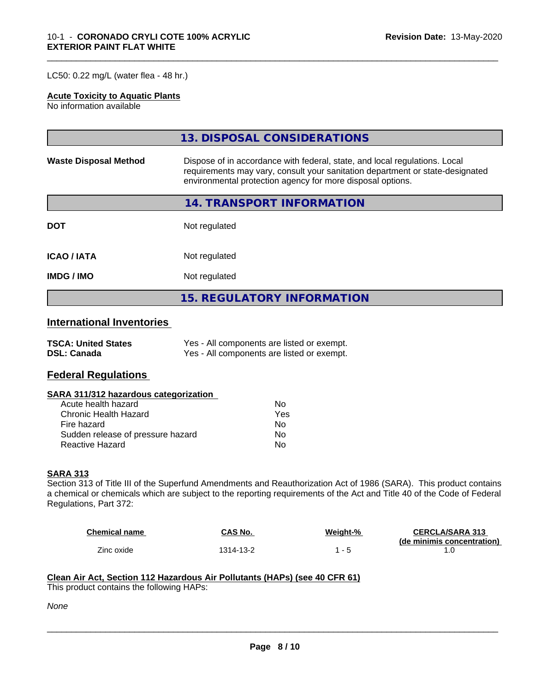LC50: 0.22 mg/L (water flea - 48 hr.)

#### **Acute Toxicity to Aquatic Plants**

No information available

|                              | 13. DISPOSAL CONSIDERATIONS                                                                                                                                                                                               |  |
|------------------------------|---------------------------------------------------------------------------------------------------------------------------------------------------------------------------------------------------------------------------|--|
| <b>Waste Disposal Method</b> | Dispose of in accordance with federal, state, and local regulations. Local<br>requirements may vary, consult your sanitation department or state-designated<br>environmental protection agency for more disposal options. |  |
|                              | <b>14. TRANSPORT INFORMATION</b>                                                                                                                                                                                          |  |
| <b>DOT</b>                   | Not regulated                                                                                                                                                                                                             |  |
| <b>ICAO/IATA</b>             | Not regulated                                                                                                                                                                                                             |  |
| <b>IMDG/IMO</b>              | Not regulated                                                                                                                                                                                                             |  |
|                              | <b>15. REGULATORY INFORMATION</b>                                                                                                                                                                                         |  |

\_\_\_\_\_\_\_\_\_\_\_\_\_\_\_\_\_\_\_\_\_\_\_\_\_\_\_\_\_\_\_\_\_\_\_\_\_\_\_\_\_\_\_\_\_\_\_\_\_\_\_\_\_\_\_\_\_\_\_\_\_\_\_\_\_\_\_\_\_\_\_\_\_\_\_\_\_\_\_\_\_\_\_\_\_\_\_\_\_\_\_\_\_

#### **International Inventories**

| <b>TSCA: United States</b> | Yes - All components are listed or exempt. |
|----------------------------|--------------------------------------------|
| <b>DSL: Canada</b>         | Yes - All components are listed or exempt. |

#### **Federal Regulations**

#### **SARA 311/312 hazardous categorization**

| Acute health hazard               | Nο  |
|-----------------------------------|-----|
| Chronic Health Hazard             | Yes |
| Fire hazard                       | N٥  |
| Sudden release of pressure hazard | Nο  |
| Reactive Hazard                   | N٥  |

#### **SARA 313**

Section 313 of Title III of the Superfund Amendments and Reauthorization Act of 1986 (SARA). This product contains a chemical or chemicals which are subject to the reporting requirements of the Act and Title 40 of the Code of Federal Regulations, Part 372:

| <b>Chemical name</b> | CAS No.   | Weight-% | <b>CERCLA/SARA 313</b>     |
|----------------------|-----------|----------|----------------------------|
|                      |           |          | (de minimis concentration) |
| Zinc oxide           | 1314-13-2 |          |                            |

 $\overline{\phantom{a}}$  ,  $\overline{\phantom{a}}$  ,  $\overline{\phantom{a}}$  ,  $\overline{\phantom{a}}$  ,  $\overline{\phantom{a}}$  ,  $\overline{\phantom{a}}$  ,  $\overline{\phantom{a}}$  ,  $\overline{\phantom{a}}$  ,  $\overline{\phantom{a}}$  ,  $\overline{\phantom{a}}$  ,  $\overline{\phantom{a}}$  ,  $\overline{\phantom{a}}$  ,  $\overline{\phantom{a}}$  ,  $\overline{\phantom{a}}$  ,  $\overline{\phantom{a}}$  ,  $\overline{\phantom{a}}$ 

#### **Clean Air Act,Section 112 Hazardous Air Pollutants (HAPs) (see 40 CFR 61)**

This product contains the following HAPs:

*None*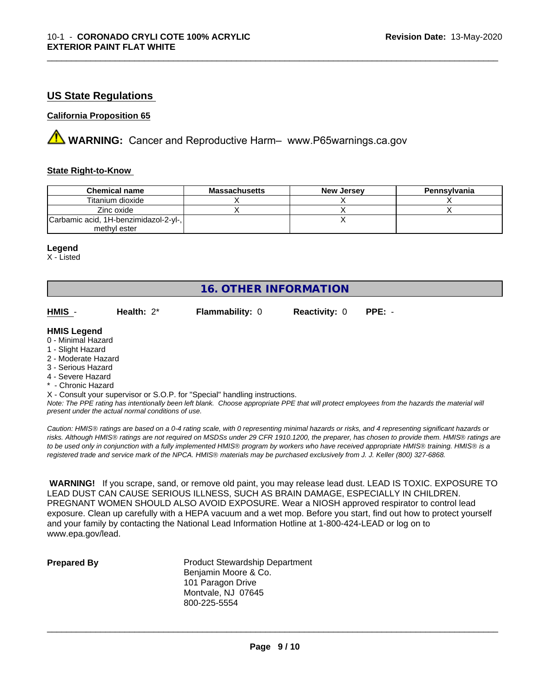#### **US State Regulations**

#### **California Proposition 65**

**AVIMARNING:** Cancer and Reproductive Harm– www.P65warnings.ca.gov

#### **State Right-to-Know**

| <b>Chemical name</b>                  | <b>Massachusetts</b> | <b>New Jersey</b> | Pennsylvania |
|---------------------------------------|----------------------|-------------------|--------------|
| Titanium dioxide                      |                      |                   |              |
| Zinc oxide                            |                      |                   |              |
| Carbamic acid, 1H-benzimidazol-2-yl-, |                      |                   |              |
| methyl ester                          |                      |                   |              |

\_\_\_\_\_\_\_\_\_\_\_\_\_\_\_\_\_\_\_\_\_\_\_\_\_\_\_\_\_\_\_\_\_\_\_\_\_\_\_\_\_\_\_\_\_\_\_\_\_\_\_\_\_\_\_\_\_\_\_\_\_\_\_\_\_\_\_\_\_\_\_\_\_\_\_\_\_\_\_\_\_\_\_\_\_\_\_\_\_\_\_\_\_

#### **Legend**

X - Listed

#### **16. OTHER INFORMATION**

| HMIS | Health: $2^*$ | <b>Flammability: 0</b> | <b>Reactivity: 0 PPE: -</b> |  |
|------|---------------|------------------------|-----------------------------|--|
|      |               |                        |                             |  |

#### **HMIS Legend**

- 0 Minimal Hazard
- 1 Slight Hazard
- 2 Moderate Hazard
- 3 Serious Hazard
- 4 Severe Hazard
- \* Chronic Hazard
- X Consult your supervisor or S.O.P. for "Special" handling instructions.

*Note: The PPE rating has intentionally been left blank. Choose appropriate PPE that will protect employees from the hazards the material will present under the actual normal conditions of use.*

*Caution: HMISÒ ratings are based on a 0-4 rating scale, with 0 representing minimal hazards or risks, and 4 representing significant hazards or risks. Although HMISÒ ratings are not required on MSDSs under 29 CFR 1910.1200, the preparer, has chosen to provide them. HMISÒ ratings are to be used only in conjunction with a fully implemented HMISÒ program by workers who have received appropriate HMISÒ training. HMISÒ is a registered trade and service mark of the NPCA. HMISÒ materials may be purchased exclusively from J. J. Keller (800) 327-6868.*

 **WARNING!** If you scrape, sand, or remove old paint, you may release lead dust. LEAD IS TOXIC. EXPOSURE TO LEAD DUST CAN CAUSE SERIOUS ILLNESS, SUCH AS BRAIN DAMAGE, ESPECIALLY IN CHILDREN. PREGNANT WOMEN SHOULD ALSO AVOID EXPOSURE.Wear a NIOSH approved respirator to control lead exposure. Clean up carefully with a HEPA vacuum and a wet mop. Before you start, find out how to protect yourself and your family by contacting the National Lead Information Hotline at 1-800-424-LEAD or log on to www.epa.gov/lead.

**Prepared By** Product Stewardship Department Benjamin Moore & Co. 101 Paragon Drive Montvale, NJ 07645 800-225-5554